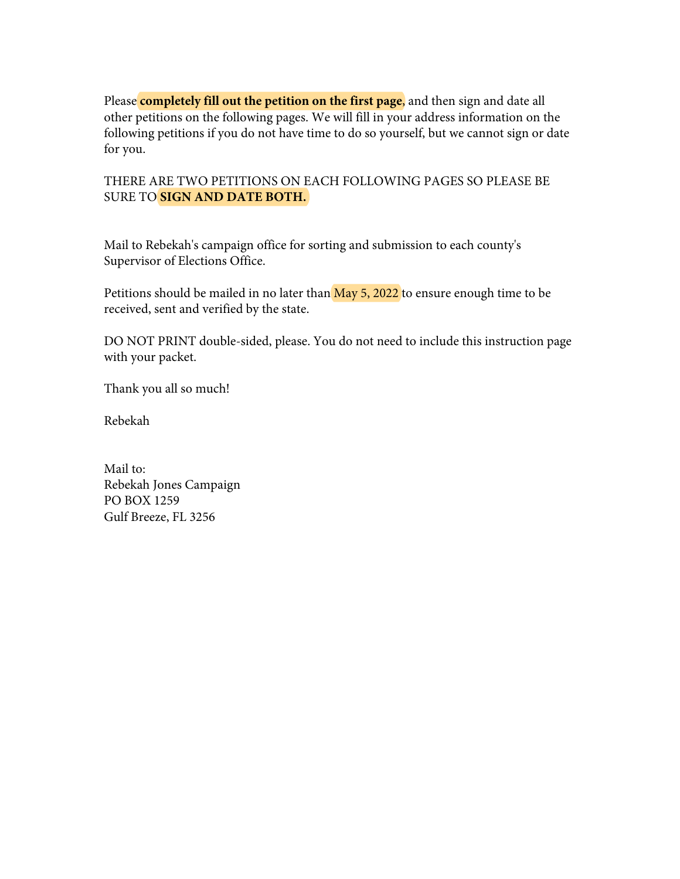Please **completely fill out the petition on the first page**, and then sign and date all other petitions on the following pages. We will fill in your address information on the following petitions if you do not have time to do so yourself, but we cannot sign or date for you.

## THERE ARE TWO PETITIONS ON EACH FOLLOWING PAGES SO PLEASE BE SURE TO **SIGN AND DATE BOTH.**

Mail to Rebekah's campaign office for sorting and submission to each county's Supervisor of Elections Office.

Petitions should be mailed in no later than  $\overline{May\ 5,2022}$  to ensure enough time to be received, sent and verified by the state.

DO NOT PRINT double-sided, please. You do not need to include this instruction page with your packet.

Thank you all so much!

Rebekah

Mail to: Rebekah Jones Campaign PO BOX 1259 Gulf Breeze, FL 3256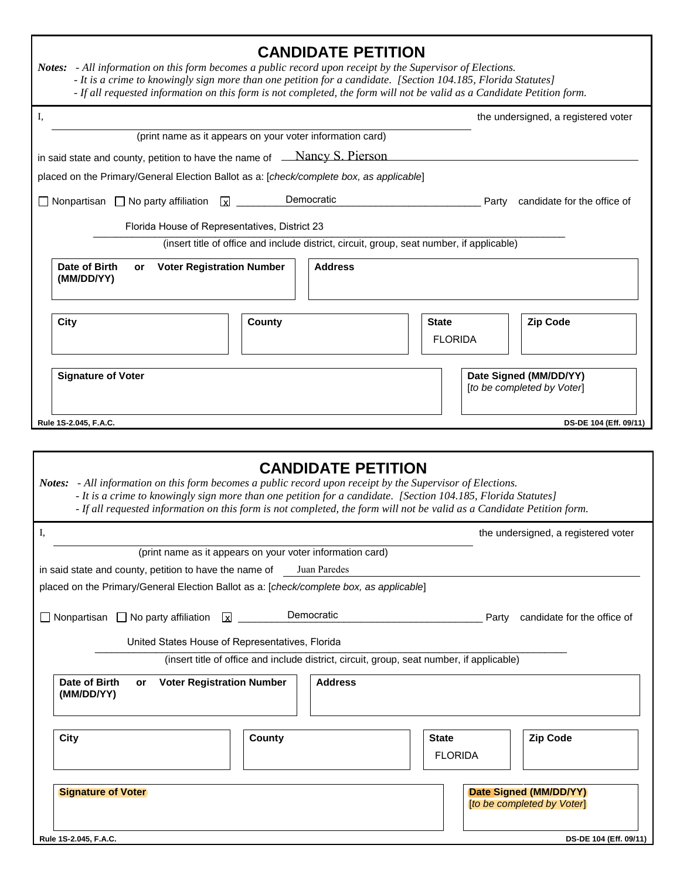| <b>CANDIDATE PETITION</b><br>Notes: - All information on this form becomes a public record upon receipt by the Supervisor of Elections.<br>- It is a crime to knowingly sign more than one petition for a candidate. [Section 104.185, Florida Statutes]<br>- If all requested information on this form is not completed, the form will not be valid as a Candidate Petition form. |
|------------------------------------------------------------------------------------------------------------------------------------------------------------------------------------------------------------------------------------------------------------------------------------------------------------------------------------------------------------------------------------|
| I,<br>the undersigned, a registered voter                                                                                                                                                                                                                                                                                                                                          |
| (print name as it appears on your voter information card)                                                                                                                                                                                                                                                                                                                          |
| in said state and county, petition to have the name of <u>Nancy S. Pierson</u>                                                                                                                                                                                                                                                                                                     |
| placed on the Primary/General Election Ballot as a: [check/complete box, as applicable]                                                                                                                                                                                                                                                                                            |
| Democratic<br>$\Box$ Nonpartisan $\Box$ No party affiliation<br>$\mathbf{z}$<br>candidate for the office of<br>Party                                                                                                                                                                                                                                                               |
| Florida House of Representatives, District 23                                                                                                                                                                                                                                                                                                                                      |
| (insert title of office and include district, circuit, group, seat number, if applicable)                                                                                                                                                                                                                                                                                          |
| Date of Birth<br><b>Voter Registration Number</b><br><b>Address</b><br>or<br>(MM/DD/YY)                                                                                                                                                                                                                                                                                            |
| <b>Zip Code</b><br>City<br>County<br><b>State</b><br><b>FLORIDA</b>                                                                                                                                                                                                                                                                                                                |
| Date Signed (MM/DD/YY)<br><b>Signature of Voter</b><br>[to be completed by Voter]                                                                                                                                                                                                                                                                                                  |
| Rule 1S-2.045, F.A.C.<br>DS-DE 104 (Eff. 09/11)                                                                                                                                                                                                                                                                                                                                    |
| <b>CANDIDATE PETITION</b><br>Notes: - All information on this form becomes a public record upon receipt by the Supervisor of Elections.<br>- It is a crime to knowingly sign more than one petition for a candidate. [Section 104.185, Florida Statutes]<br>- If all requested information on this form is not completed, the form will not be valid as a Candidate Petition form. |
| Ι,<br>the undersigned, a registered voter                                                                                                                                                                                                                                                                                                                                          |
| (print name as it appears on your voter information card)                                                                                                                                                                                                                                                                                                                          |
| Juan Paredes<br>in said state and county, petition to have the name of                                                                                                                                                                                                                                                                                                             |
| placed on the Primary/General Election Ballot as a: [check/complete box, as applicable]                                                                                                                                                                                                                                                                                            |
| Democratic<br>Nonpartisan $\Box$ No party affiliation $\Box$<br>candidate for the office of<br>Party                                                                                                                                                                                                                                                                               |
| United States House of Representatives, Florida                                                                                                                                                                                                                                                                                                                                    |
| (insert title of office and include district, circuit, group, seat number, if applicable)                                                                                                                                                                                                                                                                                          |
| Date of Birth<br><b>Voter Registration Number</b><br><b>Address</b><br>or<br>(MM/DD/YY)                                                                                                                                                                                                                                                                                            |
| <b>City</b><br><b>Zip Code</b><br>County<br><b>State</b>                                                                                                                                                                                                                                                                                                                           |
| <b>FLORIDA</b>                                                                                                                                                                                                                                                                                                                                                                     |
| <b>Signature of Voter</b><br>Date Signed (MM/DD/YY)<br>[to be completed by Voter]<br>Rule 1S-2.045, F.A.C.<br>DS-DE 104 (Eff. 09/11)                                                                                                                                                                                                                                               |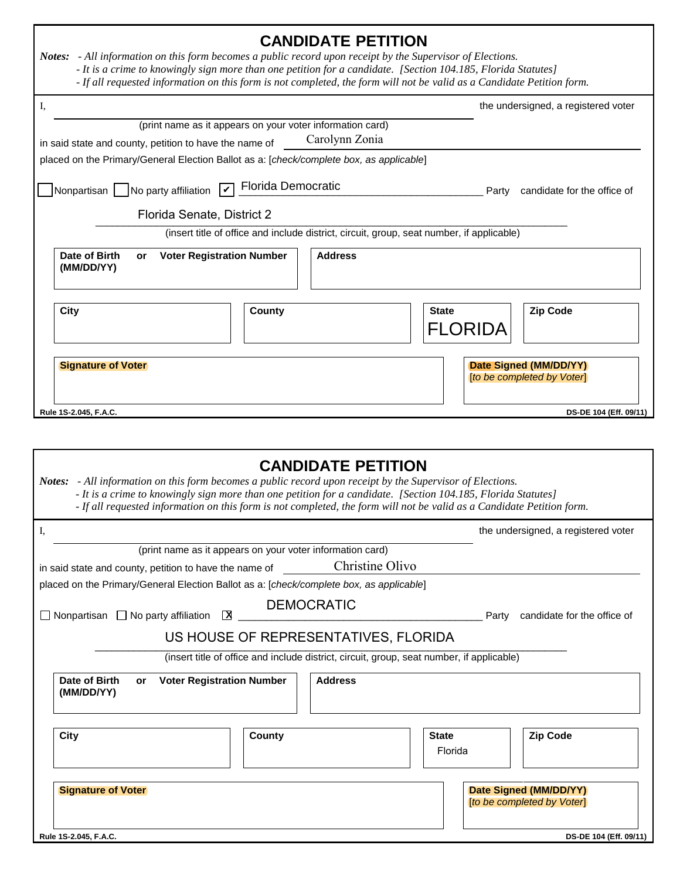| <b>CANDIDATE PETITION</b><br>Notes: - All information on this form becomes a public record upon receipt by the Supervisor of Elections.<br>- It is a crime to knowingly sign more than one petition for a candidate. [Section 104.185, Florida Statutes]<br>- If all requested information on this form is not completed, the form will not be valid as a Candidate Petition form. |                                                                                                                                   |                                                                                                                        |  |
|------------------------------------------------------------------------------------------------------------------------------------------------------------------------------------------------------------------------------------------------------------------------------------------------------------------------------------------------------------------------------------|-----------------------------------------------------------------------------------------------------------------------------------|------------------------------------------------------------------------------------------------------------------------|--|
| I,                                                                                                                                                                                                                                                                                                                                                                                 |                                                                                                                                   | the undersigned, a registered voter                                                                                    |  |
|                                                                                                                                                                                                                                                                                                                                                                                    | (print name as it appears on your voter information card)                                                                         |                                                                                                                        |  |
| in said state and county, petition to have the name of                                                                                                                                                                                                                                                                                                                             | Carolynn Zonia                                                                                                                    |                                                                                                                        |  |
| placed on the Primary/General Election Ballot as a: [check/complete box, as applicable]                                                                                                                                                                                                                                                                                            |                                                                                                                                   |                                                                                                                        |  |
| Nonpartisan   No party affiliation                                                                                                                                                                                                                                                                                                                                                 | Florida Democratic                                                                                                                | candidate for the office of<br>Party                                                                                   |  |
| Florida Senate, District 2                                                                                                                                                                                                                                                                                                                                                         |                                                                                                                                   |                                                                                                                        |  |
|                                                                                                                                                                                                                                                                                                                                                                                    | (insert title of office and include district, circuit, group, seat number, if applicable)                                         |                                                                                                                        |  |
| <b>Date of Birth</b><br><b>Voter Registration Number</b><br>or<br>(MM/DD/YY)                                                                                                                                                                                                                                                                                                       | <b>Address</b>                                                                                                                    |                                                                                                                        |  |
| <b>City</b>                                                                                                                                                                                                                                                                                                                                                                        | <b>County</b>                                                                                                                     | Zip Code<br><b>State</b><br>FLORIDA                                                                                    |  |
| <b>Signature of Voter</b>                                                                                                                                                                                                                                                                                                                                                          |                                                                                                                                   | Date Signed (MM/DD/YY)<br>[to be completed by Voter]                                                                   |  |
| Rule 1S-2.045, F.A.C.                                                                                                                                                                                                                                                                                                                                                              |                                                                                                                                   | DS-DE 104 (Eff. 09/11)                                                                                                 |  |
|                                                                                                                                                                                                                                                                                                                                                                                    |                                                                                                                                   |                                                                                                                        |  |
| Notes: - All information on this form becomes a public record upon receipt by the Supervisor of Elections.<br>- It is a crime to knowingly sign more than one petition for a candidate. [Section 104.185, Florida Statutes]                                                                                                                                                        | <b>CANDIDATE PETITION</b>                                                                                                         | - If all requested information on this form is not completed, the form will not be valid as a Candidate Petition form. |  |
| I,                                                                                                                                                                                                                                                                                                                                                                                 |                                                                                                                                   | the undersigned, a registered voter                                                                                    |  |
|                                                                                                                                                                                                                                                                                                                                                                                    | (print name as it appears on your voter information card)                                                                         |                                                                                                                        |  |
| in said state and county, petition to have the name of                                                                                                                                                                                                                                                                                                                             | Christine Olivo                                                                                                                   |                                                                                                                        |  |
| placed on the Primary/General Election Ballot as a: [check/complete box, as applicable]                                                                                                                                                                                                                                                                                            |                                                                                                                                   |                                                                                                                        |  |
| $\Box$ Nonpartisan $\Box$ No party affiliation<br>区                                                                                                                                                                                                                                                                                                                                | <b>DEMOCRATIC</b>                                                                                                                 | Party candidate for the office of                                                                                      |  |
|                                                                                                                                                                                                                                                                                                                                                                                    |                                                                                                                                   |                                                                                                                        |  |
|                                                                                                                                                                                                                                                                                                                                                                                    | US HOUSE OF REPRESENTATIVES, FLORIDA<br>(insert title of office and include district, circuit, group, seat number, if applicable) |                                                                                                                        |  |
|                                                                                                                                                                                                                                                                                                                                                                                    |                                                                                                                                   |                                                                                                                        |  |
| Date of Birth<br><b>Voter Registration Number</b><br>or<br>(MM/DD/YY)                                                                                                                                                                                                                                                                                                              | <b>Address</b>                                                                                                                    |                                                                                                                        |  |
| <b>City</b>                                                                                                                                                                                                                                                                                                                                                                        | County                                                                                                                            | <b>Zip Code</b><br><b>State</b>                                                                                        |  |
|                                                                                                                                                                                                                                                                                                                                                                                    |                                                                                                                                   | Florida                                                                                                                |  |
|                                                                                                                                                                                                                                                                                                                                                                                    |                                                                                                                                   |                                                                                                                        |  |
| <b>Signature of Voter</b>                                                                                                                                                                                                                                                                                                                                                          |                                                                                                                                   | Date Signed (MM/DD/YY)<br>[to be completed by Voter]                                                                   |  |
| Rule 1S-2.045, F.A.C.                                                                                                                                                                                                                                                                                                                                                              |                                                                                                                                   | DS-DE 104 (Eff. 09/11)                                                                                                 |  |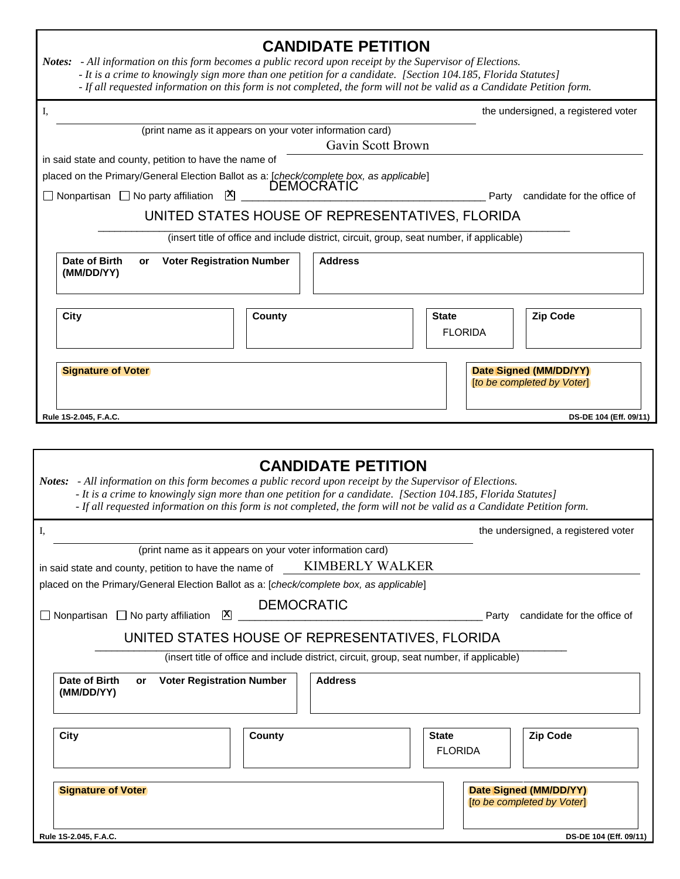| Notes: - All information on this form becomes a public record upon receipt by the Supervisor of Elections.                                                                                                          | <b>CANDIDATE PETITION</b><br>- It is a crime to knowingly sign more than one petition for a candidate. [Section 104.185, Florida Statutes]<br>- If all requested information on this form is not completed, the form will not be valid as a Candidate Petition form. |                                                      |
|---------------------------------------------------------------------------------------------------------------------------------------------------------------------------------------------------------------------|----------------------------------------------------------------------------------------------------------------------------------------------------------------------------------------------------------------------------------------------------------------------|------------------------------------------------------|
| I,                                                                                                                                                                                                                  |                                                                                                                                                                                                                                                                      | the undersigned, a registered voter                  |
|                                                                                                                                                                                                                     | (print name as it appears on your voter information card)<br>Gavin Scott Brown                                                                                                                                                                                       |                                                      |
| in said state and county, petition to have the name of<br>placed on the Primary/General Election Ballot as a: [check/complete box, as applicable]<br>$\mathsf{X}$<br>$\Box$ Nonpartisan $\Box$ No party affiliation |                                                                                                                                                                                                                                                                      | Party candidate for the office of                    |
|                                                                                                                                                                                                                     | UNITED STATES HOUSE OF REPRESENTATIVES, FLORIDA<br>(insert title of office and include district, circuit, group, seat number, if applicable)                                                                                                                         |                                                      |
|                                                                                                                                                                                                                     |                                                                                                                                                                                                                                                                      |                                                      |
| Date of Birth<br><b>Voter Registration Number</b><br><b>or</b><br>(MM/DD/YY)                                                                                                                                        | <b>Address</b>                                                                                                                                                                                                                                                       |                                                      |
| City                                                                                                                                                                                                                | County                                                                                                                                                                                                                                                               | <b>Zip Code</b><br><b>State</b><br><b>FLORIDA</b>    |
| <b>Signature of Voter</b>                                                                                                                                                                                           |                                                                                                                                                                                                                                                                      | Date Signed (MM/DD/YY)<br>[to be completed by Voter] |
| Rule 1S-2.045, F.A.C.                                                                                                                                                                                               |                                                                                                                                                                                                                                                                      | DS-DE 104 (Eff. 09/11)                               |
| Notes: - All information on this form becomes a public record upon receipt by the Supervisor of Elections.                                                                                                          | <b>CANDIDATE PETITION</b><br>- It is a crime to knowingly sign more than one petition for a candidate. [Section 104.185, Florida Statutes]<br>- If all requested information on this form is not completed, the form will not be valid as a Candidate Petition form. |                                                      |
| I,                                                                                                                                                                                                                  |                                                                                                                                                                                                                                                                      | the undersigned, a registered voter                  |
| in said state and county, petition to have the name of<br>placed on the Primary/General Election Ballot as a: [check/complete box, as applicable]                                                                   | (print name as it appears on your voter information card)<br><b>KIMBERLY WALKER</b>                                                                                                                                                                                  |                                                      |
| $\Box$ Nonpartisan $\Box$ No party affiliation<br>$\mathbf{X}$                                                                                                                                                      | <b>DEMOCRATIC</b>                                                                                                                                                                                                                                                    | Party<br>candidate for the office of                 |
|                                                                                                                                                                                                                     | UNITED STATES HOUSE OF REPRESENTATIVES, FLORIDA                                                                                                                                                                                                                      |                                                      |
|                                                                                                                                                                                                                     | (insert title of office and include district, circuit, group, seat number, if applicable)                                                                                                                                                                            |                                                      |
| Date of Birth<br><b>Voter Registration Number</b><br>or<br>(MM/DD/YY)                                                                                                                                               | <b>Address</b>                                                                                                                                                                                                                                                       |                                                      |
| <b>City</b>                                                                                                                                                                                                         | County                                                                                                                                                                                                                                                               | <b>State</b><br><b>Zip Code</b><br><b>FLORIDA</b>    |
| <b>Signature of Voter</b>                                                                                                                                                                                           |                                                                                                                                                                                                                                                                      | Date Signed (MM/DD/YY)<br>[to be completed by Voter] |
| Rule 1S-2.045, F.A.C.                                                                                                                                                                                               |                                                                                                                                                                                                                                                                      | DS-DE 104 (Eff. 09/11)                               |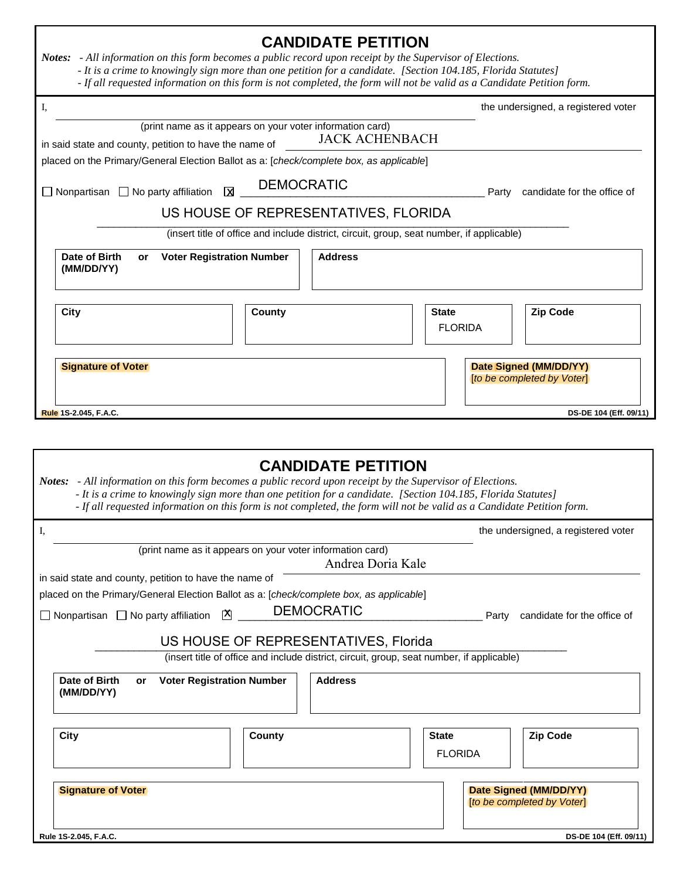| Notes: - All information on this form becomes a public record upon receipt by the Supervisor of Elections.                                                                                                                                                                                                                                            | <b>CANDIDATE PETITION</b><br>- It is a crime to knowingly sign more than one petition for a candidate. [Section 104.185, Florida Statutes]<br>- If all requested information on this form is not completed, the form will not be valid as a Candidate Petition form. |                                |                                                      |  |
|-------------------------------------------------------------------------------------------------------------------------------------------------------------------------------------------------------------------------------------------------------------------------------------------------------------------------------------------------------|----------------------------------------------------------------------------------------------------------------------------------------------------------------------------------------------------------------------------------------------------------------------|--------------------------------|------------------------------------------------------|--|
| Ι,                                                                                                                                                                                                                                                                                                                                                    |                                                                                                                                                                                                                                                                      |                                | the undersigned, a registered voter                  |  |
| in said state and county, petition to have the name of<br>placed on the Primary/General Election Ballot as a: [check/complete box, as applicable]                                                                                                                                                                                                     | (print name as it appears on your voter information card)<br><b>JACK ACHENBACH</b>                                                                                                                                                                                   |                                |                                                      |  |
| $\Box$ Nonpartisan $\Box$ No party affiliation<br>⊠                                                                                                                                                                                                                                                                                                   | <b>DEMOCRATIC</b>                                                                                                                                                                                                                                                    | Party                          | candidate for the office of                          |  |
|                                                                                                                                                                                                                                                                                                                                                       | US HOUSE OF REPRESENTATIVES, FLORIDA                                                                                                                                                                                                                                 |                                |                                                      |  |
|                                                                                                                                                                                                                                                                                                                                                       | (insert title of office and include district, circuit, group, seat number, if applicable)                                                                                                                                                                            |                                |                                                      |  |
| Date of Birth<br><b>Address</b><br><b>Voter Registration Number</b><br>or<br>(MM/DD/YY)                                                                                                                                                                                                                                                               |                                                                                                                                                                                                                                                                      |                                |                                                      |  |
| <b>City</b>                                                                                                                                                                                                                                                                                                                                           | <b>County</b>                                                                                                                                                                                                                                                        | <b>State</b><br><b>FLORIDA</b> | <b>Zip Code</b>                                      |  |
| <b>Signature of Voter</b>                                                                                                                                                                                                                                                                                                                             |                                                                                                                                                                                                                                                                      |                                | Date Signed (MM/DD/YY)<br>[to be completed by Voter] |  |
| Rule 1S-2.045, F.A.C.                                                                                                                                                                                                                                                                                                                                 |                                                                                                                                                                                                                                                                      |                                | DS-DE 104 (Eff. 09/11)                               |  |
| Notes: - All information on this form becomes a public record upon receipt by the Supervisor of Elections.<br>- It is a crime to knowingly sign more than one petition for a candidate. [Section 104.185, Florida Statutes]<br>- If all requested information on this form is not completed, the form will not be valid as a Candidate Petition form. | <b>CANDIDATE PETITION</b>                                                                                                                                                                                                                                            |                                |                                                      |  |
| Ι,                                                                                                                                                                                                                                                                                                                                                    |                                                                                                                                                                                                                                                                      |                                | the undersigned, a registered voter                  |  |
| in said state and county, petition to have the name of<br>placed on the Primary/General Election Ballot as a: [check/complete box, as applicable]<br>□ Nonpartisan □ No party affiliation $\boxed{\mathsf{X}}$                                                                                                                                        | (print name as it appears on your voter information card)<br>Andrea Doria Kale<br><b>DEMOCRATIC</b>                                                                                                                                                                  | Party                          | candidate for the office of                          |  |
| US HOUSE OF REPRESENTATIVES, Florida                                                                                                                                                                                                                                                                                                                  |                                                                                                                                                                                                                                                                      |                                |                                                      |  |
|                                                                                                                                                                                                                                                                                                                                                       | (insert title of office and include district, circuit, group, seat number, if applicable)                                                                                                                                                                            |                                |                                                      |  |
| Date of Birth<br><b>Voter Registration Number</b><br>or<br>(MM/DD/YY)                                                                                                                                                                                                                                                                                 | <b>Address</b>                                                                                                                                                                                                                                                       |                                |                                                      |  |
| City                                                                                                                                                                                                                                                                                                                                                  | County                                                                                                                                                                                                                                                               | <b>State</b><br><b>FLORIDA</b> | <b>Zip Code</b>                                      |  |
| <b>Signature of Voter</b>                                                                                                                                                                                                                                                                                                                             |                                                                                                                                                                                                                                                                      |                                | Date Signed (MM/DD/YY)<br>[to be completed by Voter] |  |
| Rule 1S-2.045, F.A.C.                                                                                                                                                                                                                                                                                                                                 |                                                                                                                                                                                                                                                                      |                                | DS-DE 104 (Eff. 09/11)                               |  |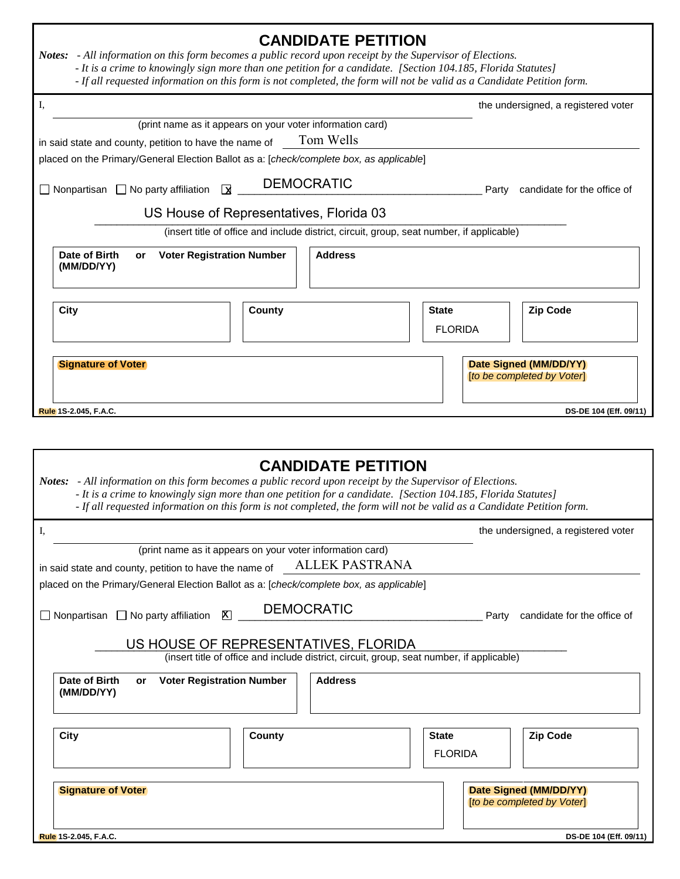| Notes: - All information on this form becomes a public record upon receipt by the Supervisor of Elections. | <b>CANDIDATE PETITION</b>                                                                                                                                                                                                                                            |                                |       |                                                      |
|------------------------------------------------------------------------------------------------------------|----------------------------------------------------------------------------------------------------------------------------------------------------------------------------------------------------------------------------------------------------------------------|--------------------------------|-------|------------------------------------------------------|
|                                                                                                            | - It is a crime to knowingly sign more than one petition for a candidate. [Section 104.185, Florida Statutes]<br>- If all requested information on this form is not completed, the form will not be valid as a Candidate Petition form.                              |                                |       |                                                      |
| I,                                                                                                         |                                                                                                                                                                                                                                                                      |                                |       | the undersigned, a registered voter                  |
|                                                                                                            | (print name as it appears on your voter information card)                                                                                                                                                                                                            |                                |       |                                                      |
| in said state and county, petition to have the name of                                                     | Tom Wells                                                                                                                                                                                                                                                            |                                |       |                                                      |
| placed on the Primary/General Election Ballot as a: [check/complete box, as applicable]                    |                                                                                                                                                                                                                                                                      |                                |       |                                                      |
| $\Box$ Nonpartisan $\Box$ No party affiliation<br>⊠                                                        | <b>DEMOCRATIC</b>                                                                                                                                                                                                                                                    |                                |       | Party candidate for the office of                    |
|                                                                                                            | US House of Representatives, Florida 03                                                                                                                                                                                                                              |                                |       |                                                      |
|                                                                                                            | (insert title of office and include district, circuit, group, seat number, if applicable)                                                                                                                                                                            |                                |       |                                                      |
| Date of Birth<br><b>Voter Registration Number</b><br>or<br>(MM/DD/YY)                                      | <b>Address</b>                                                                                                                                                                                                                                                       |                                |       |                                                      |
| City                                                                                                       | <b>County</b>                                                                                                                                                                                                                                                        | <b>State</b><br><b>FLORIDA</b> |       | <b>Zip Code</b>                                      |
| <b>Signature of Voter</b>                                                                                  |                                                                                                                                                                                                                                                                      |                                |       | Date Signed (MM/DD/YY)<br>[to be completed by Voter] |
| Rule 1S-2.045, F.A.C.                                                                                      |                                                                                                                                                                                                                                                                      |                                |       | DS-DE 104 (Eff. 09/11)                               |
| Notes: - All information on this form becomes a public record upon receipt by the Supervisor of Elections. | <b>CANDIDATE PETITION</b><br>- It is a crime to knowingly sign more than one petition for a candidate. [Section 104.185, Florida Statutes]<br>- If all requested information on this form is not completed, the form will not be valid as a Candidate Petition form. |                                |       |                                                      |
| I,                                                                                                         |                                                                                                                                                                                                                                                                      |                                |       | the undersigned, a registered voter                  |
|                                                                                                            | (print name as it appears on your voter information card)                                                                                                                                                                                                            |                                |       |                                                      |
| in said state and county, petition to have the name of                                                     | <b>ALLEK PASTRANA</b>                                                                                                                                                                                                                                                |                                |       |                                                      |
| placed on the Primary/General Election Ballot as a: [check/complete box, as applicable]                    |                                                                                                                                                                                                                                                                      |                                |       |                                                      |
| $\Box$ Nonpartisan $\Box$ No party affiliation<br>⊠                                                        | <b>DEMOCRATIC</b>                                                                                                                                                                                                                                                    |                                | Party | candidate for the office of                          |
|                                                                                                            | US HOUSE OF REPRESENTATIVES, FLORIDA<br>(insert title of office and include district, circuit, group, seat number, if applicable)                                                                                                                                    |                                |       |                                                      |
| Date of Birth<br><b>Voter Registration Number</b><br>or<br>(MM/DD/YY)                                      | <b>Address</b>                                                                                                                                                                                                                                                       |                                |       |                                                      |
| <b>City</b>                                                                                                | County                                                                                                                                                                                                                                                               | <b>State</b>                   |       | <b>Zip Code</b>                                      |
|                                                                                                            |                                                                                                                                                                                                                                                                      | <b>FLORIDA</b>                 |       |                                                      |
|                                                                                                            |                                                                                                                                                                                                                                                                      |                                |       |                                                      |
| <b>Signature of Voter</b>                                                                                  |                                                                                                                                                                                                                                                                      |                                |       | Date Signed (MM/DD/YY)<br>[to be completed by Voter] |
| Rule 1S-2.045, F.A.C.                                                                                      |                                                                                                                                                                                                                                                                      |                                |       | DS-DE 104 (Eff. 09/11)                               |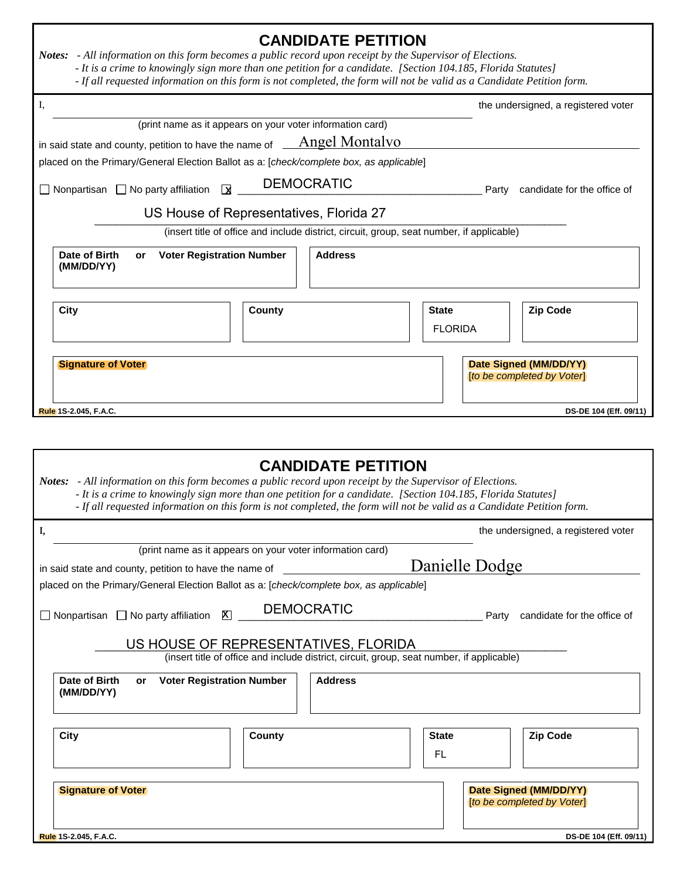| <b>CANDIDATE PETITION</b><br>Notes: - All information on this form becomes a public record upon receipt by the Supervisor of Elections.<br>- It is a crime to knowingly sign more than one petition for a candidate. [Section 104.185, Florida Statutes]<br>- If all requested information on this form is not completed, the form will not be valid as a Candidate Petition form. |               |                                                                                           |                                                      |                |                                                      |
|------------------------------------------------------------------------------------------------------------------------------------------------------------------------------------------------------------------------------------------------------------------------------------------------------------------------------------------------------------------------------------|---------------|-------------------------------------------------------------------------------------------|------------------------------------------------------|----------------|------------------------------------------------------|
| I,                                                                                                                                                                                                                                                                                                                                                                                 |               |                                                                                           |                                                      |                | the undersigned, a registered voter                  |
| (print name as it appears on your voter information card)                                                                                                                                                                                                                                                                                                                          |               |                                                                                           |                                                      |                |                                                      |
| in said state and county, petition to have the name of _                                                                                                                                                                                                                                                                                                                           |               | Angel Montalvo                                                                            |                                                      |                |                                                      |
| placed on the Primary/General Election Ballot as a: [check/complete box, as applicable]                                                                                                                                                                                                                                                                                            |               |                                                                                           |                                                      |                |                                                      |
| $\overline{\mathbf{X}}$<br>$\Box$ Nonpartisan $\Box$ No party affiliation                                                                                                                                                                                                                                                                                                          |               | <b>DEMOCRATIC</b>                                                                         |                                                      | Party          | candidate for the office of                          |
| US House of Representatives, Florida 27                                                                                                                                                                                                                                                                                                                                            |               |                                                                                           |                                                      |                |                                                      |
|                                                                                                                                                                                                                                                                                                                                                                                    |               | (insert title of office and include district, circuit, group, seat number, if applicable) |                                                      |                |                                                      |
| Date of Birth<br><b>Address</b><br><b>Voter Registration Number</b><br>or<br>(MM/DD/YY)                                                                                                                                                                                                                                                                                            |               |                                                                                           |                                                      |                |                                                      |
| City                                                                                                                                                                                                                                                                                                                                                                               | <b>County</b> |                                                                                           | <b>State</b><br><b>FLORIDA</b>                       |                | <b>Zip Code</b>                                      |
| <b>Signature of Voter</b>                                                                                                                                                                                                                                                                                                                                                          |               |                                                                                           | Date Signed (MM/DD/YY)<br>[to be completed by Voter] |                |                                                      |
| Rule 1S-2.045, F.A.C.                                                                                                                                                                                                                                                                                                                                                              |               |                                                                                           |                                                      |                | DS-DE 104 (Eff. 09/11)                               |
| Notes: - All information on this form becomes a public record upon receipt by the Supervisor of Elections.<br>- It is a crime to knowingly sign more than one petition for a candidate. [Section 104.185, Florida Statutes]<br>- If all requested information on this form is not completed, the form will not be valid as a Candidate Petition form.                              |               | <b>CANDIDATE PETITION</b>                                                                 |                                                      |                |                                                      |
| Ι,                                                                                                                                                                                                                                                                                                                                                                                 |               |                                                                                           |                                                      |                | the undersigned, a registered voter                  |
| (print name as it appears on your voter information card)                                                                                                                                                                                                                                                                                                                          |               |                                                                                           |                                                      |                |                                                      |
| in said state and county, petition to have the name of                                                                                                                                                                                                                                                                                                                             |               |                                                                                           |                                                      | Danielle Dodge |                                                      |
| placed on the Primary/General Election Ballot as a: [check/complete box, as applicable]                                                                                                                                                                                                                                                                                            |               |                                                                                           |                                                      |                |                                                      |
| <b>DEMOCRATIC</b><br>$\Box$ Nonpartisan $\Box$ No party affiliation<br>区<br>Party candidate for the office of                                                                                                                                                                                                                                                                      |               |                                                                                           |                                                      |                |                                                      |
| US HOUSE OF REPRESENTATIVES, FLORIDA<br>(insert title of office and include district, circuit, group, seat number, if applicable)                                                                                                                                                                                                                                                  |               |                                                                                           |                                                      |                |                                                      |
| Date of Birth<br><b>Address</b><br><b>Voter Registration Number</b><br><b>or</b><br>(MM/DD/YY)                                                                                                                                                                                                                                                                                     |               |                                                                                           |                                                      |                |                                                      |
| City                                                                                                                                                                                                                                                                                                                                                                               | County        |                                                                                           | State                                                |                | <b>Zip Code</b>                                      |
|                                                                                                                                                                                                                                                                                                                                                                                    |               |                                                                                           | FL                                                   |                |                                                      |
|                                                                                                                                                                                                                                                                                                                                                                                    |               |                                                                                           |                                                      |                |                                                      |
| <b>Signature of Voter</b>                                                                                                                                                                                                                                                                                                                                                          |               |                                                                                           |                                                      |                | Date Signed (MM/DD/YY)<br>[to be completed by Voter] |
| Rule 1S-2.045, F.A.C.                                                                                                                                                                                                                                                                                                                                                              |               |                                                                                           |                                                      |                | DS-DE 104 (Eff. 09/11)                               |